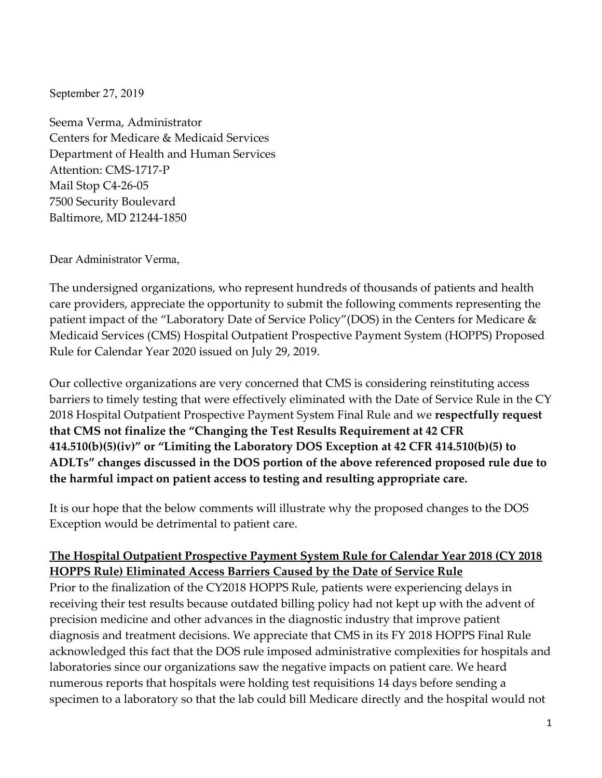September 27, 2019

Seema Verma, Administrator Centers for Medicare & Medicaid Services Department of Health and Human Services Attention: CMS‐1717‐P Mail Stop C4‐26‐05 7500 Security Boulevard Baltimore, MD 21244‐1850

Dear Administrator Verma,

The undersigned organizations, who represent hundreds of thousands of patients and health care providers, appreciate the opportunity to submit the following comments representing the patient impact of the "Laboratory Date of Service Policy"(DOS) in the Centers for Medicare & Medicaid Services (CMS) Hospital Outpatient Prospective Payment System (HOPPS) Proposed Rule for Calendar Year 2020 issued on July 29, 2019.

Our collective organizations are very concerned that CMS is considering reinstituting access barriers to timely testing that were effectively eliminated with the Date of Service Rule in the CY 2018 Hospital Outpatient Prospective Payment System Final Rule and we **respectfully request that CMS not finalize the "Changing the Test Results Requirement at 42 CFR 414.510(b)(5)(iv)" or "Limiting the Laboratory DOS Exception at 42 CFR 414.510(b)(5) to ADLTs" changes discussed in the DOS portion of the above referenced proposed rule due to the harmful impact on patient access to testing and resulting appropriate care.**

It is our hope that the below comments will illustrate why the proposed changes to the DOS Exception would be detrimental to patient care.

## **The Hospital Outpatient Prospective Payment System Rule for Calendar Year 2018 (CY 2018 HOPPS Rule) Eliminated Access Barriers Caused by the Date of Service Rule**

Prior to the finalization of the CY2018 HOPPS Rule, patients were experiencing delays in receiving their test results because outdated billing policy had not kept up with the advent of precision medicine and other advances in the diagnostic industry that improve patient diagnosis and treatment decisions. We appreciate that CMS in its FY 2018 HOPPS Final Rule acknowledged this fact that the DOS rule imposed administrative complexities for hospitals and laboratories since our organizations saw the negative impacts on patient care. We heard numerous reports that hospitals were holding test requisitions 14 days before sending a specimen to a laboratory so that the lab could bill Medicare directly and the hospital would not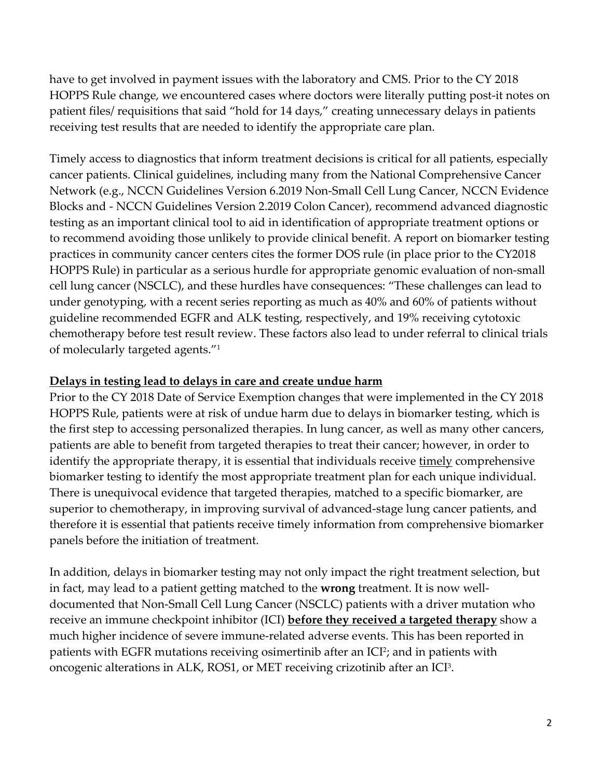have to get involved in payment issues with the laboratory and CMS. Prior to the CY 2018 HOPPS Rule change, we encountered cases where doctors were literally putting post‐it notes on patient files/ requisitions that said "hold for 14 days," creating unnecessary delays in patients receiving test results that are needed to identify the appropriate care plan.

Timely access to diagnostics that inform treatment decisions is critical for all patients, especially cancer patients. Clinical guidelines, including many from the National Comprehensive Cancer Network (e.g., NCCN Guidelines Version 6.2019 Non‐Small Cell Lung Cancer, NCCN Evidence Blocks and ‐ NCCN Guidelines Version 2.2019 Colon Cancer), recommend advanced diagnostic testing as an important clinical tool to aid in identification of appropriate treatment options or to recommend avoiding those unlikely to provide clinical benefit. A report on biomarker testing practices in community cancer centers cites the former DOS rule (in place prior to the CY2018 HOPPS Rule) in particular as a serious hurdle for appropriate genomic evaluation of non‐small cell lung cancer (NSCLC), and these hurdles have consequences: "These challenges can lead to under genotyping, with a recent series reporting as much as 40% and 60% of patients without guideline recommended EGFR and ALK testing, respectively, and 19% receiving cytotoxic chemotherapy before test result review. These factors also lead to under referral to clinical trials of molecularly targeted agents."1

## **Delays in testing lead to delays in care and create undue harm**

Prior to the CY 2018 Date of Service Exemption changes that were implemented in the CY 2018 HOPPS Rule, patients were at risk of undue harm due to delays in biomarker testing, which is the first step to accessing personalized therapies. In lung cancer, as well as many other cancers, patients are able to benefit from targeted therapies to treat their cancer; however, in order to identify the appropriate therapy, it is essential that individuals receive timely comprehensive biomarker testing to identify the most appropriate treatment plan for each unique individual. There is unequivocal evidence that targeted therapies, matched to a specific biomarker, are superior to chemotherapy, in improving survival of advanced-stage lung cancer patients, and therefore it is essential that patients receive timely information from comprehensive biomarker panels before the initiation of treatment.

In addition, delays in biomarker testing may not only impact the right treatment selection, but in fact, may lead to a patient getting matched to the **wrong** treatment. It is now well‐ documented that Non‐Small Cell Lung Cancer (NSCLC) patients with a driver mutation who receive an immune checkpoint inhibitor (ICI) **before they received a targeted therapy** show a much higher incidence of severe immune‐related adverse events. This has been reported in patients with EGFR mutations receiving osimertinib after an ICI<sup>2</sup>; and in patients with oncogenic alterations in ALK, ROS1, or MET receiving crizotinib after an ICI3.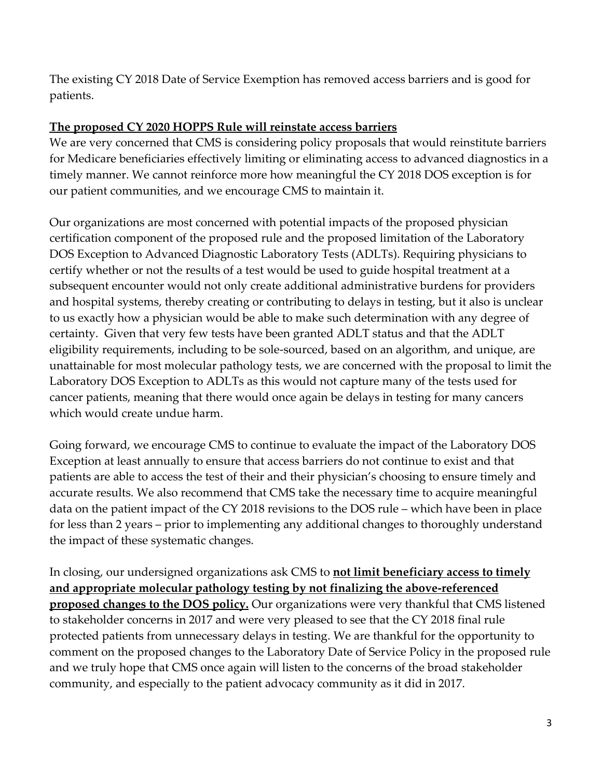The existing CY 2018 Date of Service Exemption has removed access barriers and is good for patients.

## **The proposed CY 2020 HOPPS Rule will reinstate access barriers**

We are very concerned that CMS is considering policy proposals that would reinstitute barriers for Medicare beneficiaries effectively limiting or eliminating access to advanced diagnostics in a timely manner. We cannot reinforce more how meaningful the CY 2018 DOS exception is for our patient communities, and we encourage CMS to maintain it.

Our organizations are most concerned with potential impacts of the proposed physician certification component of the proposed rule and the proposed limitation of the Laboratory DOS Exception to Advanced Diagnostic Laboratory Tests (ADLTs). Requiring physicians to certify whether or not the results of a test would be used to guide hospital treatment at a subsequent encounter would not only create additional administrative burdens for providers and hospital systems, thereby creating or contributing to delays in testing, but it also is unclear to us exactly how a physician would be able to make such determination with any degree of certainty. Given that very few tests have been granted ADLT status and that the ADLT eligibility requirements, including to be sole‐sourced, based on an algorithm, and unique, are unattainable for most molecular pathology tests, we are concerned with the proposal to limit the Laboratory DOS Exception to ADLTs as this would not capture many of the tests used for cancer patients, meaning that there would once again be delays in testing for many cancers which would create undue harm.

Going forward, we encourage CMS to continue to evaluate the impact of the Laboratory DOS Exception at least annually to ensure that access barriers do not continue to exist and that patients are able to access the test of their and their physician's choosing to ensure timely and accurate results. We also recommend that CMS take the necessary time to acquire meaningful data on the patient impact of the CY 2018 revisions to the DOS rule – which have been in place for less than 2 years – prior to implementing any additional changes to thoroughly understand the impact of these systematic changes.

In closing, our undersigned organizations ask CMS to **not limit beneficiary access to timely and appropriate molecular pathology testing by not finalizing the above‐referenced proposed changes to the DOS policy.** Our organizations were very thankful that CMS listened to stakeholder concerns in 2017 and were very pleased to see that the CY 2018 final rule protected patients from unnecessary delays in testing. We are thankful for the opportunity to comment on the proposed changes to the Laboratory Date of Service Policy in the proposed rule and we truly hope that CMS once again will listen to the concerns of the broad stakeholder community, and especially to the patient advocacy community as it did in 2017.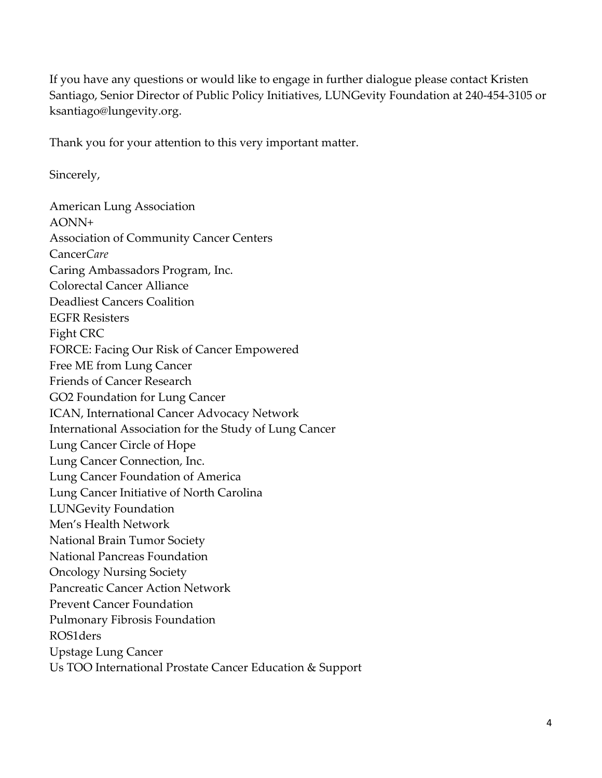If you have any questions or would like to engage in further dialogue please contact Kristen Santiago, Senior Director of Public Policy Initiatives, LUNGevity Foundation at 240‐454‐3105 or ksantiago@lungevity.org.

Thank you for your attention to this very important matter.

Sincerely,

American Lung Association AONN+ Association of Community Cancer Centers Cancer*Care* Caring Ambassadors Program, Inc. Colorectal Cancer Alliance Deadliest Cancers Coalition EGFR Resisters Fight CRC FORCE: Facing Our Risk of Cancer Empowered Free ME from Lung Cancer Friends of Cancer Research GO2 Foundation for Lung Cancer ICAN, International Cancer Advocacy Network International Association for the Study of Lung Cancer Lung Cancer Circle of Hope Lung Cancer Connection, Inc. Lung Cancer Foundation of America Lung Cancer Initiative of North Carolina LUNGevity Foundation Men's Health Network National Brain Tumor Society National Pancreas Foundation Oncology Nursing Society Pancreatic Cancer Action Network Prevent Cancer Foundation Pulmonary Fibrosis Foundation ROS1ders Upstage Lung Cancer Us TOO International Prostate Cancer Education & Support